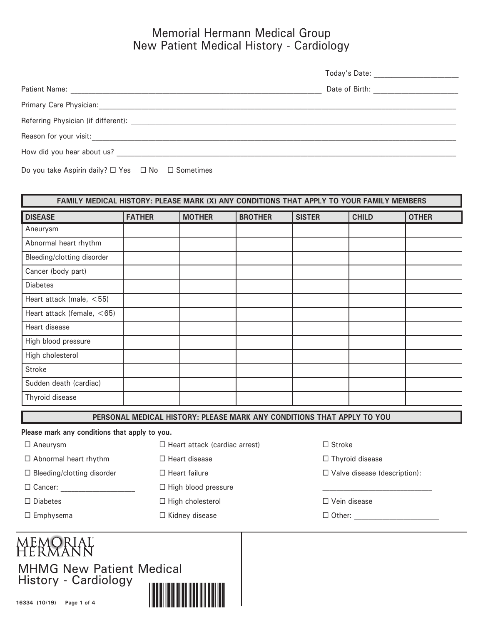## Memorial Hermann Medical Group New Patient Medical History - Cardiology

|                                     | Today's Date:  |
|-------------------------------------|----------------|
| <b>Patient Name:</b>                | Date of Birth: |
| Primary Care Physician:             |                |
| Referring Physician (if different): |                |
| Reason for your visit:              |                |
| How did you hear about us?          |                |

Do you take Aspirin daily?  $\Box$  Yes  $\Box$  No  $\Box$  Sometimes

| FAMILY MEDICAL HISTORY: PLEASE MARK (X) ANY CONDITIONS THAT APPLY TO YOUR FAMILY MEMBERS |               |               |                |               |              |              |
|------------------------------------------------------------------------------------------|---------------|---------------|----------------|---------------|--------------|--------------|
| <b>DISEASE</b>                                                                           | <b>FATHER</b> | <b>MOTHER</b> | <b>BROTHER</b> | <b>SISTER</b> | <b>CHILD</b> | <b>OTHER</b> |
| Aneurysm                                                                                 |               |               |                |               |              |              |
| Abnormal heart rhythm                                                                    |               |               |                |               |              |              |
| Bleeding/clotting disorder                                                               |               |               |                |               |              |              |
| Cancer (body part)                                                                       |               |               |                |               |              |              |
| <b>Diabetes</b>                                                                          |               |               |                |               |              |              |
| Heart attack (male, <55)                                                                 |               |               |                |               |              |              |
| Heart attack (female, <65)                                                               |               |               |                |               |              |              |
| Heart disease                                                                            |               |               |                |               |              |              |
| High blood pressure                                                                      |               |               |                |               |              |              |
| High cholesterol                                                                         |               |               |                |               |              |              |
| <b>Stroke</b>                                                                            |               |               |                |               |              |              |
| Sudden death (cardiac)                                                                   |               |               |                |               |              |              |
| Thyroid disease                                                                          |               |               |                |               |              |              |
|                                                                                          |               |               |                |               |              |              |

**PERSONAL MEDICAL HISTORY: PLEASE MARK ANY CONDITIONS THAT APPLY TO YOU**

**Please mark any conditions that apply to you.**

 $\Box$  Aneurysm  $\Box$  Heart attack (cardiac arrest)  $\Box$  Stroke

 $\Box$  Abnormal heart rhythm  $\Box$  Heart disease  $\Box$  Thyroid disease

 $\Box$  Bleeding/clotting disorder  $\Box$  Heart failure  $\Box$  Valve disease (description):

 $\square$  Cancer:  $\square$  High blood pressure

Diabetes High cholesterol Vein disease

 $\square$  Emphysema  $\square$  Kidney disease  $\square$  Other:  $\square$ 

# MEMORIAI<br>HERMANN

MHMG New Patient Medical History - Cardiology

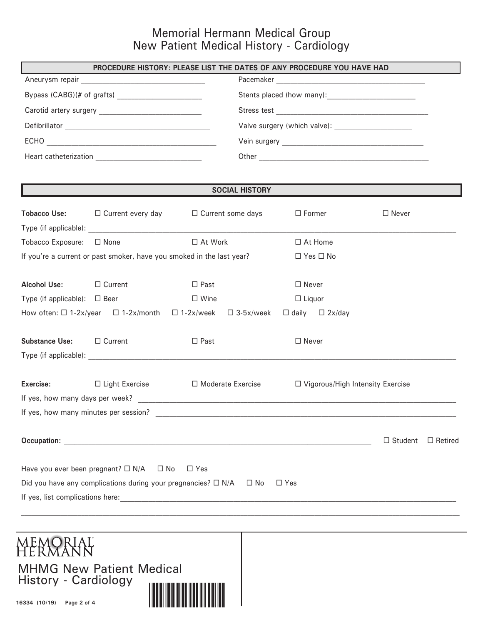## Memorial Hermann Medical Group New Patient Medical History - Cardiology

|                                                                                             | PROCEDURE HISTORY: PLEASE LIST THE DATES OF ANY PROCEDURE YOU HAVE HAD                                     |                     |                       |               |                                    |                |                |
|---------------------------------------------------------------------------------------------|------------------------------------------------------------------------------------------------------------|---------------------|-----------------------|---------------|------------------------------------|----------------|----------------|
|                                                                                             |                                                                                                            |                     |                       |               |                                    |                |                |
|                                                                                             |                                                                                                            |                     |                       |               |                                    |                |                |
|                                                                                             |                                                                                                            |                     |                       |               |                                    |                |                |
|                                                                                             |                                                                                                            |                     |                       |               |                                    |                |                |
|                                                                                             |                                                                                                            |                     |                       |               |                                    |                |                |
|                                                                                             |                                                                                                            |                     |                       |               |                                    |                |                |
|                                                                                             | <u> 1989 - Andrea Stadt Britain, amerikansk politiker (d. 1989)</u>                                        |                     | <b>SOCIAL HISTORY</b> |               |                                    |                |                |
|                                                                                             | <b>Tobacco Use:</b> $\Box$ Current every day $\Box$ Current some days                                      |                     |                       | $\Box$ Former |                                    | $\Box$ Never   |                |
| Tobacco Exposure: □ None                                                                    |                                                                                                            | □ At Work           |                       |               | $\Box$ At Home                     |                |                |
|                                                                                             | If you're a current or past smoker, have you smoked in the last year?                                      |                     |                       |               | $\Box$ Yes $\Box$ No               |                |                |
| <b>Alcohol Use:</b>                                                                         | □ Current                                                                                                  | $\Box$ Past         |                       | $\Box$ Never  |                                    |                |                |
| Type (if applicable): $\Box$ Beer                                                           |                                                                                                            | $\Box$ Wine         |                       | $\Box$ Liquor |                                    |                |                |
|                                                                                             | How often: $\Box$ 1-2x/year $\Box$ 1-2x/month $\Box$ 1-2x/week $\Box$ 3-5x/week $\Box$ daily $\Box$ 2x/day |                     |                       |               |                                    |                |                |
| Substance Use: □ Current                                                                    |                                                                                                            | $\Box$ Past         |                       | $\Box$ Never  |                                    |                |                |
|                                                                                             |                                                                                                            |                     |                       |               |                                    |                |                |
| Exercise:                                                                                   | $\Box$ Light Exercise                                                                                      | □ Moderate Exercise |                       |               | □ Vigorous/High Intensity Exercise |                |                |
|                                                                                             |                                                                                                            |                     |                       |               |                                    |                |                |
| If yes, how many minutes per session?                                                       |                                                                                                            |                     |                       |               |                                    |                |                |
|                                                                                             |                                                                                                            |                     |                       |               |                                    | $\Box$ Student | $\Box$ Retired |
|                                                                                             | Have you ever been pregnant? $\square$ N/A $\square$ No                                                    | $\Box$ Yes          |                       |               |                                    |                |                |
| Did you have any complications during your pregnancies? □ N/A<br>$\square$ Yes<br>$\Box$ No |                                                                                                            |                     |                       |               |                                    |                |                |
|                                                                                             |                                                                                                            |                     |                       |               |                                    |                |                |

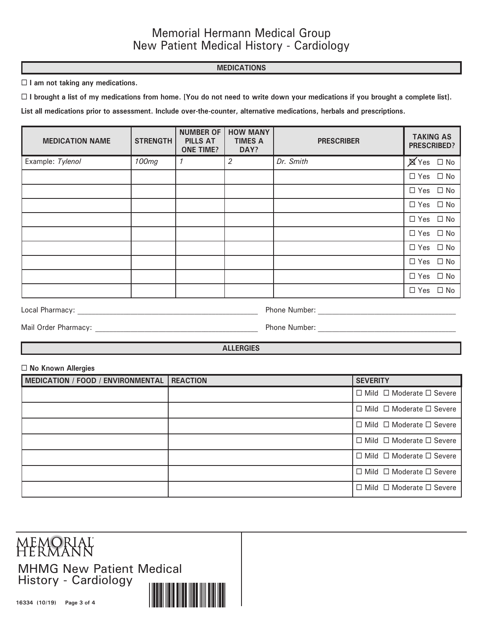#### **MEDICATIONS**

**I am not taking any medications.**

**I brought a list of my medications from home. [You do not need to write down your medications if you brought a complete list].**

**List all medications prior to assessment. Include over-the-counter, alternative medications, herbals and prescriptions.**

| <b>MEDICATION NAME</b> | <b>STRENGTH</b> | <b>NUMBER OF</b><br><b>PILLS AT</b><br><b>ONE TIME?</b> | <b>HOW MANY</b><br><b>TIMES A</b><br>DAY? | <b>PRESCRIBER</b> | <b>TAKING AS</b><br><b>PRESCRIBED?</b> |
|------------------------|-----------------|---------------------------------------------------------|-------------------------------------------|-------------------|----------------------------------------|
| Example: Tylenol       | 100mg           | $\mathcal I$                                            | 2                                         | Dr. Smith         | $\cancel{\boxtimes}$ Yes $\Box$ No     |
|                        |                 |                                                         |                                           |                   | $\Box$ Yes $\Box$ No                   |
|                        |                 |                                                         |                                           |                   | $\Box$ Yes $\Box$ No                   |
|                        |                 |                                                         |                                           |                   | $\Box$ Yes $\Box$ No                   |
|                        |                 |                                                         |                                           |                   | $\Box$ Yes $\Box$ No                   |
|                        |                 |                                                         |                                           |                   | $\Box$ Yes $\Box$ No                   |
|                        |                 |                                                         |                                           |                   | $\Box$ Yes $\Box$ No                   |
|                        |                 |                                                         |                                           |                   | $\Box$ Yes $\Box$ No                   |
|                        |                 |                                                         |                                           |                   | $\Box$ Yes $\Box$ No                   |
|                        |                 |                                                         |                                           |                   | $\Box$ Yes $\Box$ No                   |

Local Pharmacy: \_\_\_\_\_\_\_\_\_\_\_\_\_\_\_\_\_\_\_\_\_\_\_\_\_\_\_\_\_\_\_\_\_\_\_\_\_\_\_\_\_\_\_\_\_\_\_\_\_\_\_ Phone Number: \_\_\_\_\_\_\_\_\_\_\_\_\_\_\_\_\_\_\_\_\_\_\_\_\_\_\_\_\_\_\_\_\_\_\_\_\_\_\_

Mail Order Pharmacy: \_\_\_\_\_\_\_\_\_\_\_\_\_\_\_\_\_\_\_\_\_\_\_\_\_\_\_\_\_\_\_\_\_\_\_\_\_\_\_\_\_\_\_\_\_\_ Phone Number: \_\_\_\_\_\_\_\_\_\_\_\_\_\_\_\_\_\_\_\_\_\_\_\_\_\_\_\_\_\_\_\_\_\_\_\_\_\_\_

**ALLERGIES**

#### **No Known Allergies**

| MEDICATION / FOOD / ENVIRONMENTAL | <b>REACTION</b> | <b>SEVERITY</b>                           |
|-----------------------------------|-----------------|-------------------------------------------|
|                                   |                 | $\Box$ Mild $\Box$ Moderate $\Box$ Severe |
|                                   |                 | $\Box$ Mild $\Box$ Moderate $\Box$ Severe |
|                                   |                 | $\Box$ Mild $\Box$ Moderate $\Box$ Severe |
|                                   |                 | $\Box$ Mild $\Box$ Moderate $\Box$ Severe |
|                                   |                 | $\Box$ Mild $\Box$ Moderate $\Box$ Severe |
|                                   |                 | $\Box$ Mild $\Box$ Moderate $\Box$ Severe |
|                                   |                 | $\Box$ Mild $\Box$ Moderate $\Box$ Severe |

MEMORIAL<br>HERMANN MHMG New Patient Medical History - Cardiology